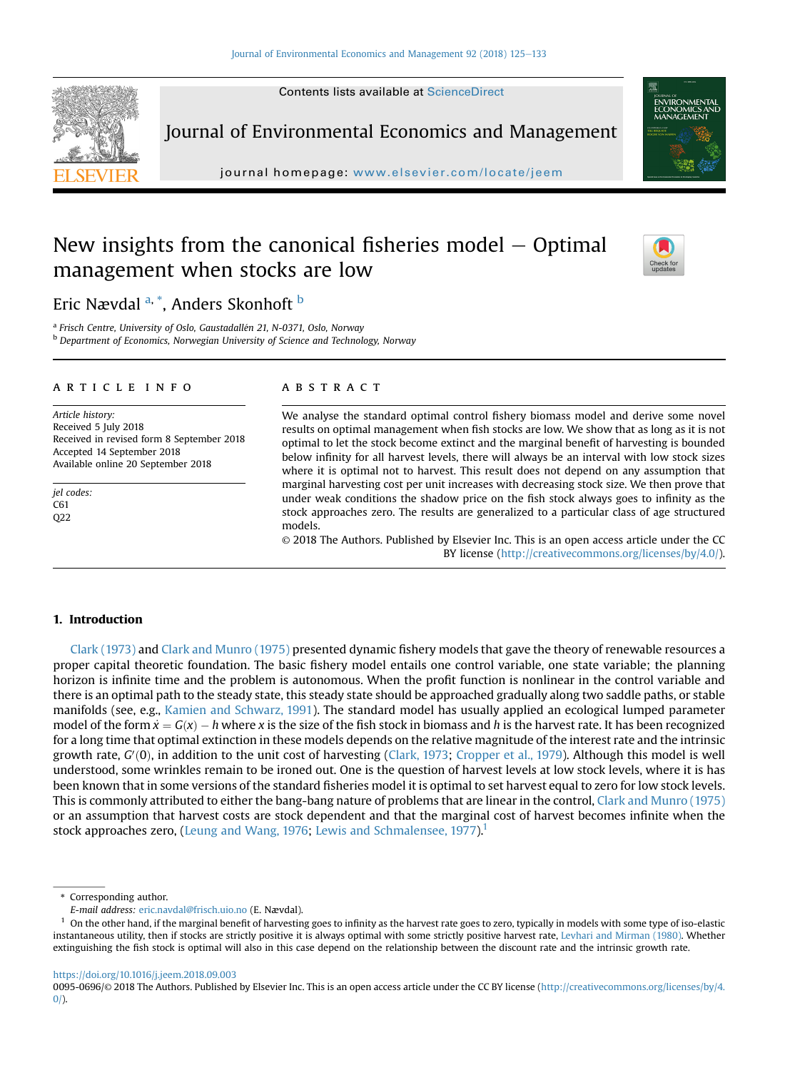

journal homepage: <www.elsevier.com/locate/jeem>/locate/jeem/locate/jeem/locate/jeem/locate/jeem/locate/jeem/locate/jeem/locate/jeem/locate/jeem/locate/jeem/locate/jeem/locate/jeem/locate/jeem/locate/jeem/locate/jeem/locate

# New insights from the canonical fisheries model  $-$  Optimal management when stocks are low



Eric Nævdal <sup>a, \*</sup>, Anders Skonhoft <sup>b</sup>

<sup>a</sup> Frisch Centre, University of Oslo, Gaustadallén 21, N-0371, Oslo, Norway

**b** Department of Economics, Norwegian University of Science and Technology, Norway

#### article info

Article history: Received 5 July 2018 Received in revised form 8 September 2018 Accepted 14 September 2018 Available online 20 September 2018

jel codes: C61 Q22

## **ABSTRACT**

We analyse the standard optimal control fishery biomass model and derive some novel results on optimal management when fish stocks are low. We show that as long as it is not optimal to let the stock become extinct and the marginal benefit of harvesting is bounded below infinity for all harvest levels, there will always be an interval with low stock sizes where it is optimal not to harvest. This result does not depend on any assumption that marginal harvesting cost per unit increases with decreasing stock size. We then prove that under weak conditions the shadow price on the fish stock always goes to infinity as the stock approaches zero. The results are generalized to a particular class of age structured models.

© 2018 The Authors. Published by Elsevier Inc. This is an open access article under the CC BY license ([http://creativecommons.org/licenses/by/4.0/\)](http://creativecommons.org/licenses/by/4.0/).

## 1. Introduction

[Clark \(1973\)](#page-8-0) and [Clark and Munro \(1975\)](#page-8-0) presented dynamic fishery models that gave the theory of renewable resources a proper capital theoretic foundation. The basic fishery model entails one control variable, one state variable; the planning horizon is infinite time and the problem is autonomous. When the profit function is nonlinear in the control variable and there is an optimal path to the steady state, this steady state should be approached gradually along two saddle paths, or stable manifolds (see, e.g., [Kamien and Schwarz, 1991\)](#page-8-0). The standard model has usually applied an ecological lumped parameter model of the form  $\dot{x} = G(x) - h$  where x is the size of the fish stock in biomass and h is the harvest rate. It has been recognized for a long time that optimal extinction in these models depends on the relative magnitude o for a long time that optimal extinction in these models depends on the relative magnitude of the interest rate and the intrinsic growth rate, G'(0), in addition to the unit cost of harvesting ([Clark, 1973](#page-8-0); [Cropper et al., 1979](#page-8-0)). Although this model is well<br>understood, some wrinkles remain to be ironed out. One is the question of harvest levels at lo understood, some wrinkles remain to be ironed out. One is the question of harvest levels at low stock levels, where it is has been known that in some versions of the standard fisheries model it is optimal to set harvest equal to zero for low stock levels. This is commonly attributed to either the bang-bang nature of problems that are linear in the control, [Clark and Munro \(1975\)](#page-8-0) or an assumption that harvest costs are stock dependent and that the marginal cost of harvest becomes infinite when the stock approaches zero, [\(Leung and Wang, 1976;](#page-8-0) [Lewis and Schmalensee, 1977](#page-8-0)).<sup>1</sup>

\* Corresponding author.

E-mail address: [eric.navdal@frisch.uio.no](mailto:eric.navdal@frisch.uio.no) (E. Nævdal).

 $<sup>1</sup>$  On the other hand, if the marginal benefit of harvesting goes to infinity as the harvest rate goes to zero, typically in models with some type of iso-elastic</sup> instantaneous utility, then if stocks are strictly positive it is always optimal with some strictly positive harvest rate, [Levhari and Mirman \(1980\).](#page-8-0) Whether extinguishing the fish stock is optimal will also in this case depend on the relationship between the discount rate and the intrinsic growth rate.

<https://doi.org/10.1016/j.jeem.2018.09.003>

<sup>0095-0696/</sup>© 2018 The Authors. Published by Elsevier Inc. This is an open access article under the CC BY license [\(http://creativecommons.org/licenses/by/4.](http://creativecommons.org/licenses/by/4.0/)  $0/$ ).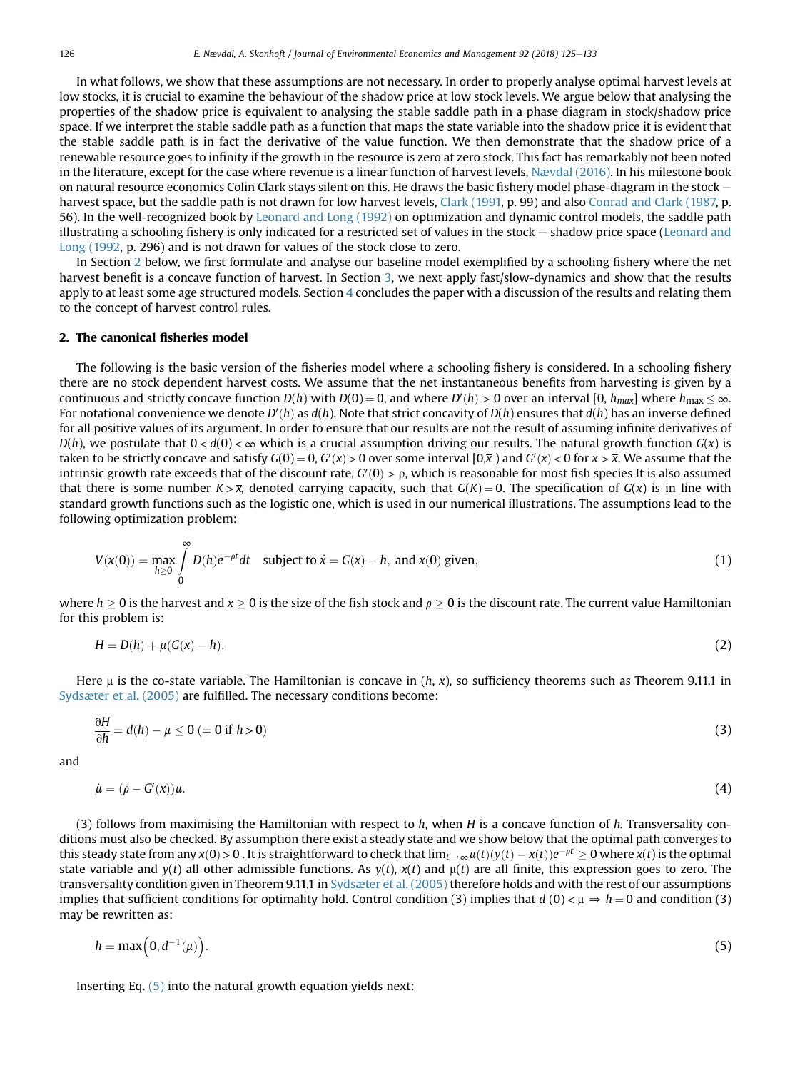<span id="page-1-0"></span>In what follows, we show that these assumptions are not necessary. In order to properly analyse optimal harvest levels at low stocks, it is crucial to examine the behaviour of the shadow price at low stock levels. We argue below that analysing the properties of the shadow price is equivalent to analysing the stable saddle path in a phase diagram in stock/shadow price space. If we interpret the stable saddle path as a function that maps the state variable into the shadow price it is evident that the stable saddle path is in fact the derivative of the value function. We then demonstrate that the shadow price of a renewable resource goes to infinity if the growth in the resource is zero at zero stock. This fact has remarkably not been noted in the literature, except for the case where revenue is a linear function of harvest levels, [Nævdal \(2016\)](#page-8-0). In his milestone book on natural resource economics Colin Clark stays silent on this. He draws the basic fishery model phase-diagram in the stock  $-$ harvest space, but the saddle path is not drawn for low harvest levels, [Clark \(1991,](#page-8-0) p. 99) and also [Conrad and Clark \(1987,](#page-8-0) p. 56). In the well-recognized book by [Leonard and Long \(1992\)](#page-8-0) on optimization and dynamic control models, the saddle path illustrating a schooling fishery is only indicated for a restricted set of values in the stock – shadow price space ([Leonard and](#page-8-0) [Long \(1992](#page-8-0), p. 296) and is not drawn for values of the stock close to zero.

In Section 2 below, we first formulate and analyse our baseline model exemplified by a schooling fishery where the net harvest benefit is a concave function of harvest. In Section [3,](#page-3-0) we next apply fast/slow-dynamics and show that the results apply to at least some age structured models. Section 4 concludes the paper with a discussion of the results and relating them to the concept of harvest control rules.

## 2. The canonical fisheries model

The following is the basic version of the fisheries model where a schooling fishery is considered. In a schooling fishery there are no stock dependent harvest costs. We assume that the net instantaneous benefits from harvesting is given by a continuous and strictly concave function  $D(h)$  with  $D(0) = 0$ , and where  $D'(h) > 0$  over an interval  $[0, h_{max}]$  where  $h_{max} \leq \infty$ .<br>For potational convenience we denote  $D'(h)$  as  $d(h)$  Note that strict concavity of  $D(h)$  en For notational convenience we denote  $D'(h)$  as  $d(h)$ . Note that strict concavity of  $D(h)$  ensures that  $d(h)$  has an inverse defined<br>for all positive values of its argument. In order to ensure that our results are not the for all positive values of its argument. In order to ensure that our results are not the result of assuming infinite derivatives of  $D(h)$ , we postulate that  $0 < d(0) < \infty$  which is a crucial assumption driving our results. The natural growth function  $G(x)$  is taken to be strictly concave and satisfy  $G(0) = 0$ ,  $G'(x) > 0$  over some interval  $[0,\overline{x})$  and  $G'(x) < 0$  for  $x > \overline{x}$ . We assume that the interval  $G'(0) > 0$  which is reasonable for most fish species It is also assumed intrinsic growth rate exceeds that of the discount rate,  $G'(0) > \rho$ , which is reasonable for most fish species It is also assumed<br>that there is some number  $K \searrow \overline{\nu}$  denoted carrying canacity, such that  $G(K) = 0$ . The sp that there is some number  $K > \overline{x}$ , denoted carrying capacity, such that  $G(K) = 0$ . The specification of  $G(x)$  is in line with standard growth functions such as the logistic one, which is used in our numerical illustrations. The assumptions lead to the following optimization problem:

$$
V(x(0)) = \max_{h \ge 0} \int_{0}^{\infty} D(h)e^{-\rho t}dt \quad \text{subject to } \dot{x} = G(x) - h, \text{ and } x(0) \text{ given}, \tag{1}
$$

where  $h > 0$  is the harvest and  $x > 0$  is the size of the fish stock and  $\rho > 0$  is the discount rate. The current value Hamiltonian for this problem is:

$$
H = D(h) + \mu(G(x) - h). \tag{2}
$$

Here  $\mu$  is the co-state variable. The Hamiltonian is concave in  $(h, x)$ , so sufficiency theorems such as Theorem 9.11.1 in [Sydsæter et al. \(2005\)](#page-8-0) are fulfilled. The necessary conditions become:

$$
\frac{\partial H}{\partial h} = d(h) - \mu \le 0 \ (= 0 \text{ if } h > 0)
$$
 (3)

and

$$
\dot{\mu} = (\rho - G'(\mathbf{x}))\mu. \tag{4}
$$

(3) follows from maximising the Hamiltonian with respect to  $h$ , when  $H$  is a concave function of  $h$ . Transversality conditions must also be checked. By assumption there exist a steady state and we show below that the optimal path converges to this steady state from any  $x(0) > 0$ . It is straightforward to check that  $\lim_{t\to\infty}\mu(t)(y(t) - x(t))e^{-\rho t} \ge 0$  where  $x(t)$  is the optimal state  $y(t)$  and  $y(t)$  and  $y(t)$  and  $y(t)$  and  $y(t)$  and  $y(t)$  and  $y(t)$  and  $y(t)$  and state variable and  $y(t)$  all other admissible functions. As  $y(t)$ ,  $x(t)$  and  $\mu(t)$  are all finite, this expression goes to zero. The transversality condition given in Theorem 9.11.1 in [Sydsæter et al. \(2005\)](#page-8-0) therefore holds and with the rest of our assumptions implies that sufficient conditions for optimality hold. Control condition (3) implies that  $d(0) < \mu \Rightarrow h = 0$  and condition (3) may be rewritten as:

$$
h = \max\left(0, d^{-1}(\mu)\right). \tag{5}
$$

Inserting Eq. (5) into the natural growth equation yields next: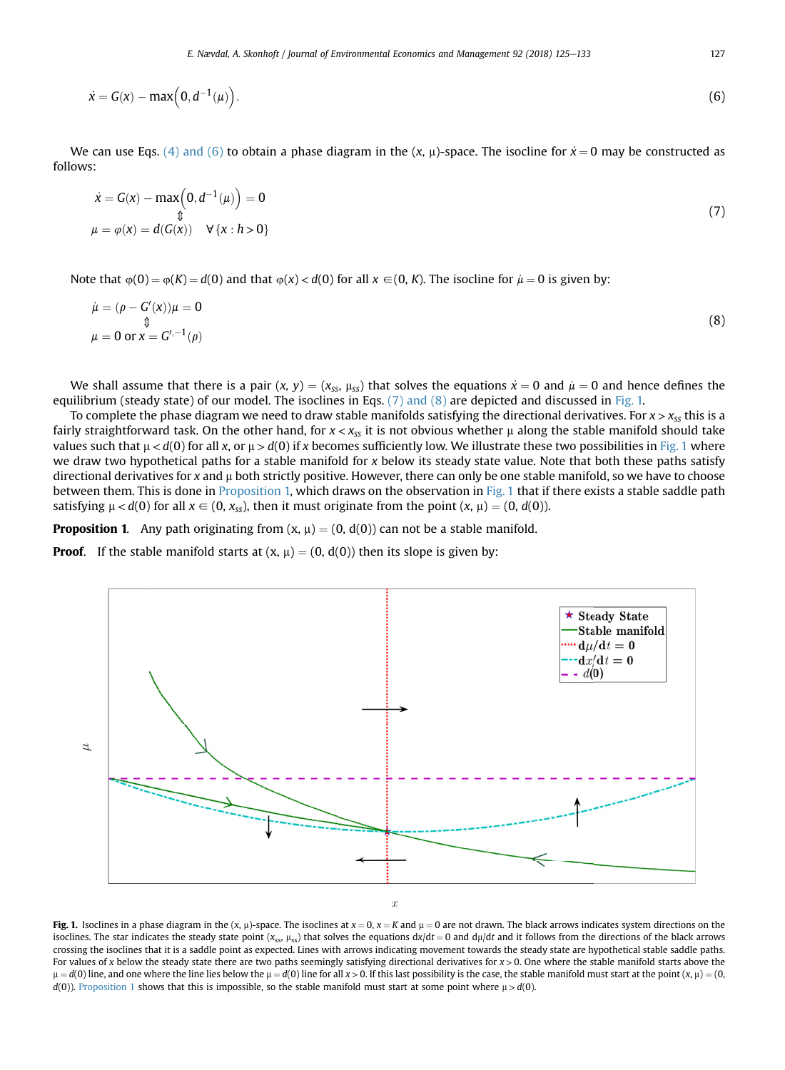$$
\dot{x} = G(x) - \max\left(0, d^{-1}(\mu)\right). \tag{6}
$$

We can use Eqs. [\(4\) and \(6\)](#page-1-0) to obtain a phase diagram in the  $(x, \mu)$ -space. The isocline for  $\dot{x} = 0$  may be constructed as follows:

$$
\dot{x} = G(x) - \max\left(0, d^{-1}(\mu)\right) = 0
$$
\n
$$
\begin{array}{c}\n\dot{x} = G(x) - \max\left(0, d^{-1}(\mu)\right) = 0 \\
\mu = \varphi(x) = d(G(x)) \quad \forall \{x : h > 0\}\n\end{array} \tag{7}
$$

Note that  $\varphi(0) = \varphi(K) = d(0)$  and that  $\varphi(x) < d(0)$  for all  $x \in (0, K)$ . The isocline for  $\mu = 0$  is given by:

$$
\begin{aligned}\n\dot{\mu} &= (\rho - G'(\mathbf{x}))\mu = 0\\
\psi &= 0 \text{ or } \mathbf{x} = G'^{-1}(\rho)\n\end{aligned}
$$
\n(8)

We shall assume that there is a pair  $(x, y) = (x_{ss}, \mu_{ss})$  that solves the equations  $\dot{x} = 0$  and  $\dot{\mu} = 0$  and hence defines the equilibrium (steady state) of our model. The isoclines in Eqs.  $(7)$  and  $(8)$  are depicted and discussed in Fig. 1.

To complete the phase diagram we need to draw stable manifolds satisfying the directional derivatives. For  $x > x_{ss}$  this is a fairly straightforward task. On the other hand, for  $x < x_{ss}$  it is not obvious whether  $\mu$  along the stable manifold should take values such that  $\mu < d(0)$  for all x, or  $\mu > d(0)$  if x becomes sufficiently low. We illustrate these two possibilities in Fig. 1 where we draw two hypothetical paths for a stable manifold for  $x$  below its steady state value. Note that both these paths satisfy directional derivatives for x and  $\mu$  both strictly positive. However, there can only be one stable manifold, so we have to choose between them. This is done in Proposition 1, which draws on the observation in Fig. 1 that if there exists a stable saddle path satisfying  $\mu < d(0)$  for all  $x \in (0, x_{ss})$ , then it must originate from the point  $(x, \mu) = (0, d(0))$ .

**Proposition 1.** Any path originating from  $(x, \mu) = (0, d(0))$  can not be a stable manifold.

**Proof.** If the stable manifold starts at  $(x, \mu) = (0, d(0))$  then its slope is given by:



Fig. 1. Isoclines in a phase diagram in the  $(x, \mu)$ -space. The isoclines at  $x = 0$ ,  $x = K$  and  $\mu = 0$  are not drawn. The black arrows indicates system directions on the isoclines. The star indicates the steady state point  $(x_{ss}, \mu_{ss})$  that solves the equations dx/dt = 0 and d $\mu$ /dt and it follows from the directions of the black arrows crossing the isoclines that it is a saddle point as expected. Lines with arrows indicating movement towards the steady state are hypothetical stable saddle paths. For values of x below the steady state there are two paths seemingly satisfying directional derivatives for  $x > 0$ . One where the stable manifold starts above the  $\mu = d(0)$  line, and one where the line lies below the  $\mu = d(0)$  line for all x > 0. If this last possibility is the case, the stable manifold must start at the point  $(x, \mu) = (0, 0)$  $d(0)$ ). Proposition 1 shows that this is impossible, so the stable manifold must start at some point where  $\mu > d(0)$ .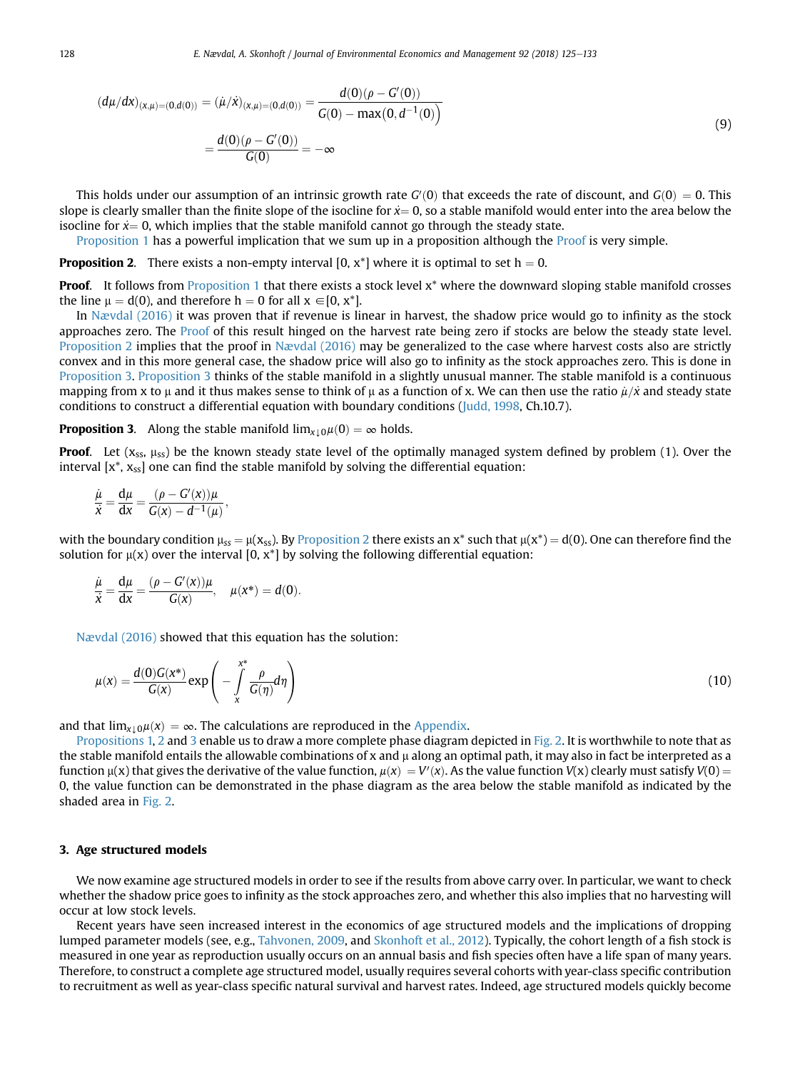<span id="page-3-0"></span>
$$
(d\mu/dx)_{(x,\mu)=(0,d(0))} = (\mu/\dot{x})_{(x,\mu)=(0,d(0))} = \frac{d(0)(\rho - G'(0))}{G(0) - \max(0, d^{-1}(0))}
$$
  
= 
$$
\frac{d(0)(\rho - G'(0))}{G(0)} = -\infty
$$
 (9)

This holds under our assumption of an intrinsic growth rate  $G'(0)$  that exceeds the rate of discount, and  $G(0) = 0$ . This<br>pe is clearly smaller than the finite slope of the isocline for  $\dot{x} - 0$ , so a stable manifold wou slope is clearly smaller than the finite slope of the isocline for  $\dot{x} = 0$ , so a stable manifold would enter into the area below the isocline for  $\dot{x} = 0$ , which implies that the stable manifold cannot go through the steady state.

Proposition 1 has a powerful implication that we sum up in a proposition although the Proof is very simple.

**Proposition 2.** There exists a non-empty interval [0, x\*] where it is optimal to set  $h = 0$ .

**Proof.** It follows from Proposition 1 that there exists a stock level  $x^*$  where the downward sloping stable manifold crosses the line  $\mu = d(0)$ , and therefore h = 0 for all  $x \in [0, x^*]$ .

In [Nævdal \(2016\)](#page-8-0) it was proven that if revenue is linear in harvest, the shadow price would go to infinity as the stock approaches zero. The Proof of this result hinged on the harvest rate being zero if stocks are below the steady state level. Proposition 2 implies that the proof in [Nævdal \(2016\)](#page-8-0) may be generalized to the case where harvest costs also are strictly convex and in this more general case, the shadow price will also go to infinity as the stock approaches zero. This is done in Proposition 3. Proposition 3 thinks of the stable manifold in a slightly unusual manner. The stable manifold is a continuous mapping from x to  $\mu$  and it thus makes sense to think of  $\mu$  as a function of x. We can then use the ratio  $\mu/\dot{x}$  and steady state conditions to construct a differential equation with boundary conditions [\(Judd, 1998,](#page-8-0) Ch.10.7).

**Proposition 3.** Along the stable manifold  $\lim_{x\to 0}\mu(0)=\infty$  holds.

**Proof.** Let  $(x_{ss}, \mu_{ss})$  be the known steady state level of the optimally managed system defined by problem (1). Over the interval  $[x^*, x_{ss}]$  one can find the stable manifold by solving the differential equation:

$$
\frac{\dot{\mu}}{\dot{x}} = \frac{d\mu}{dx} = \frac{(\rho - G'(x))\mu}{G(x) - d^{-1}(\mu)},
$$

with the boundary condition  $\mu_{ss} = \mu(x_{ss})$ . By Proposition 2 there exists an x\* such that  $\mu(x^*) = d(0)$ . One can therefore find the solution for  $\mu(x)$  over the interval [0, x<sup>\*</sup>] by solving the following differential equation:

$$
\frac{\dot{\mu}}{\dot{x}} = \frac{d\mu}{dx} = \frac{(\rho - G'(x))\mu}{G(x)}, \quad \mu(x^*) = d(0).
$$

[Nævdal \(2016\)](#page-8-0) showed that this equation has the solution:

$$
\mu(x) = \frac{d(0)G(x^*)}{G(x)} \exp\left(-\int\limits_x^{x^*} \frac{\rho}{G(\eta)} d\eta\right) \tag{10}
$$

and that  $\lim_{x\to 0}\mu(x) = \infty$ . The calculations are reproduced in the [Appendix.](#page-7-0)

[Propositions 1,](#page-7-0) [2](#page-7-0) and [3](#page-7-0) enable us to draw a more complete phase diagram depicted in [Fig. 2.](#page-4-0) It is worthwhile to note that as the stable manifold entails the allowable combinations of x and  $\mu$  along an optimal path, it may also in fact be interpreted as a function  $\mu(x)$  that gives the derivative of the value function,  $\mu(x) = V'(x)$ . As the value function  $V(x)$  clearly must satisfy  $V(0) = 0$  the value function can be demonstrated in the phase diagram as the area below the st 0, the value function can be demonstrated in the phase diagram as the area below the stable manifold as indicated by the shaded area in [Fig. 2](#page-4-0).

## 3. Age structured models

We now examine age structured models in order to see if the results from above carry over. In particular, we want to check whether the shadow price goes to infinity as the stock approaches zero, and whether this also implies that no harvesting will occur at low stock levels.

Recent years have seen increased interest in the economics of age structured models and the implications of dropping lumped parameter models (see, e.g., [Tahvonen, 2009](#page-8-0), and [Skonhoft et al., 2012\)](#page-8-0). Typically, the cohort length of a fish stock is measured in one year as reproduction usually occurs on an annual basis and fish species often have a life span of many years. Therefore, to construct a complete age structured model, usually requires several cohorts with year-class specific contribution to recruitment as well as year-class specific natural survival and harvest rates. Indeed, age structured models quickly become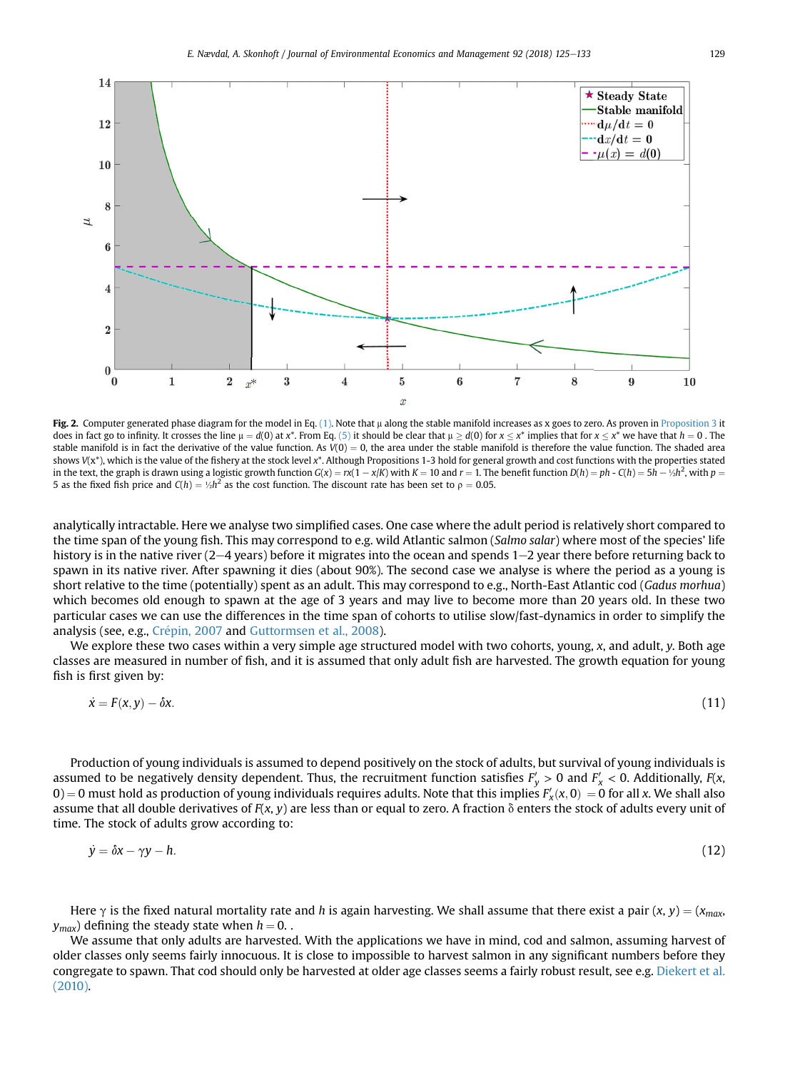<span id="page-4-0"></span>

Fig. 2. Computer generated phase diagram for the model in Eq. [\(1\).](#page-1-0) Note that  $\mu$  along the stable manifold increases as x goes to zero. As proven in Proposition 3 it does in fact go to infinity. It crosses the line  $\mu = d(0)$  at x\*. From Eq. [\(5\)](#page-1-0) it should be clear that  $\mu \ge d(0)$  for  $x \le x^*$  implies that for  $x \le x^*$  we have that  $h = 0$ . The stable manifold is in fact the derivative of the value function. As  $V(0) = 0$ , the area under the stable manifold is therefore the value function. The shaded area shows  $V(x^*)$ , which is the value of the fishery at the stock level  $x^*$ . Although Propositions 1-3 hold for general growth and cost functions with the properties stated in the text, the graph is drawn using a logistic growth function  $G(x) = rx(1 - x/K)$  with  $K = 10$  and  $r = 1$ . The benefit function  $D(h) = ph - C(h) = 5h - \frac{1}{2}h^2$ , with  $p = 5$  as the fixed field price and  $C(h) = \frac{1}{2}h^2$ . 5 as the fixed fish price and  $C(h) = \frac{1}{2}h^2$  as the cost function. The discount rate has been set to  $\rho = 0.05$ .

analytically intractable. Here we analyse two simplified cases. One case where the adult period is relatively short compared to the time span of the young fish. This may correspond to e.g. wild Atlantic salmon (Salmo salar) where most of the species' life history is in the native river  $(2-4$  years) before it migrates into the ocean and spends  $1-2$  year there before returning back to spawn in its native river. After spawning it dies (about 90%). The second case we analyse is where the period as a young is short relative to the time (potentially) spent as an adult. This may correspond to e.g., North-East Atlantic cod (Gadus morhua) which becomes old enough to spawn at the age of 3 years and may live to become more than 20 years old. In these two particular cases we can use the differences in the time span of cohorts to utilise slow/fast-dynamics in order to simplify the analysis (see, e.g., Crépin, 2007 and [Guttormsen et al., 2008\)](#page-8-0).

We explore these two cases within a very simple age structured model with two cohorts, young, x, and adult, y. Both age classes are measured in number of fish, and it is assumed that only adult fish are harvested. The growth equation for young fish is first given by:

$$
\dot{x} = F(x, y) - \delta x. \tag{11}
$$

Production of young individuals is assumed to depend positively on the stock of adults, but survival of young individuals is assumed to be negatively density dependent. Thus, the recruitment function satisfies  $F'_y > 0$  and  $F'_x < 0$ . Additionally,  $F(x, y)$  $0$  = 0 must hold as production of young individuals requires adults. Note that this implies  $F'_\chi(x,0) = 0$  for all x. We shall also<br>assume that all double derivatives of  $F(x, y)$  are less than or equal to zero. A fraction assume that all double derivatives of  $F(x, y)$  are less than or equal to zero. A fraction  $\delta$  enters the stock of adults every unit of time. The stock of adults grow according to:

$$
\dot{y} = \delta x - \gamma y - h. \tag{12}
$$

Here  $\gamma$  is the fixed natural mortality rate and h is again harvesting. We shall assume that there exist a pair  $(x, y) = (x_{max}, y_{max})$  $y_{max}$ ) defining the steady state when  $h = 0$ .

We assume that only adults are harvested. With the applications we have in mind, cod and salmon, assuming harvest of older classes only seems fairly innocuous. It is close to impossible to harvest salmon in any significant numbers before they congregate to spawn. That cod should only be harvested at older age classes seems a fairly robust result, see e.g. [Diekert et al.](#page-8-0) [\(2010\)](#page-8-0).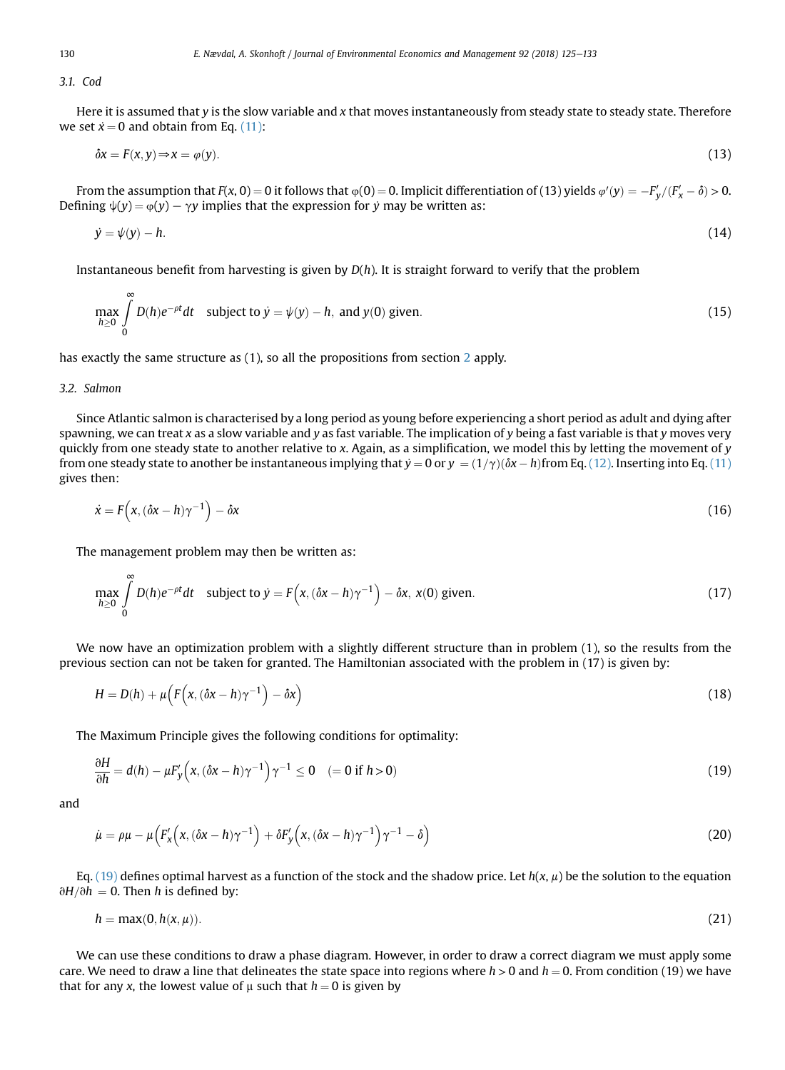3.1. Cod

Here it is assumed that y is the slow variable and x that moves instantaneously from steady state to steady state. Therefore we set  $x = 0$  and obtain from Eq. [\(11\):](#page-4-0)

$$
\delta x = F(x, y) \Rightarrow x = \varphi(y). \tag{13}
$$

From the assumption that  $F(x, 0) = 0$  it follows that  $\varphi(0) = 0$ . Implicit differentiation of (13) yields  $\varphi'(y) = -F'_y/(F'_x - \delta) > 0$ .<br>Sping  $\psi(y) = \varphi(y) = \chi(y)$  mplies that the expression for y may be written as: Defining  $\psi(y) = \varphi(y) - \gamma y$  implies that the expression for y may be written as:

$$
\dot{y} = \psi(y) - h. \tag{14}
$$

Instantaneous benefit from harvesting is given by  $D(h)$ . It is straight forward to verify that the problem

$$
\max_{h\geq 0} \int_{0}^{\infty} D(h)e^{-\rho t}dt \quad \text{subject to } \dot{y} = \psi(y) - h, \text{ and } y(0) \text{ given.}
$$
 (15)

has exactly the same structure as (1), so all the propositions from section [2](#page-1-0) apply.

## 3.2. Salmon

 $\sim$ 

Since Atlantic salmon is characterised by a long period as young before experiencing a short period as adult and dying after spawning, we can treat  $x$  as a slow variable and  $y$  as fast variable. The implication of  $y$  being a fast variable is that  $y$  moves very quickly from one steady state to another relative to x. Again, as a simplification, we model this by letting the movement of y from one steady state to another be instantaneous implying that  $\dot{y} = 0$  or  $y = (1/\gamma)(\delta x - h)$ from Eq. [\(12\).](#page-4-0) Inserting into Eq. [\(11\)](#page-4-0) gives then: gives then:

$$
\dot{x} = F(x, (\delta x - h)\gamma^{-1}) - \delta x \tag{16}
$$

The management problem may then be written as:

$$
\max_{h\geq 0} \int\limits_{0}^{\infty} D(h)e^{-\rho t}dt \quad \text{subject to } \dot{y} = F\left(x, (\delta x - h)\gamma^{-1}\right) - \delta x, \ x(0) \text{ given.} \tag{17}
$$

We now have an optimization problem with a slightly different structure than in problem (1), so the results from the previous section can not be taken for granted. The Hamiltonian associated with the problem in (17) is given by:

$$
H = D(h) + \mu \left( F(x, (\delta x - h)\gamma^{-1}) - \delta x \right)
$$
\n(18)

The Maximum Principle gives the following conditions for optimality:

$$
\frac{\partial H}{\partial h} = d(h) - \mu F_y' \left( x, (\delta x - h) \gamma^{-1} \right) \gamma^{-1} \le 0 \quad (= 0 \text{ if } h > 0)
$$
\n(19)

and

$$
\dot{\mu} = \rho \mu - \mu \Big( F_x \Big( x, (\delta x - h) \gamma^{-1} \Big) + \delta F_y \Big( x, (\delta x - h) \gamma^{-1} \Big) \gamma^{-1} - \delta \Big)
$$
\n(20)

Eq. (19) defines optimal harvest as a function of the stock and the shadow price. Let  $h(x, \mu)$  be the solution to the equation  $\partial H/\partial h = 0$ . Then h is defined by:

$$
h = \max(0, h(x, \mu)). \tag{21}
$$

We can use these conditions to draw a phase diagram. However, in order to draw a correct diagram we must apply some care. We need to draw a line that delineates the state space into regions where  $h > 0$  and  $h = 0$ . From condition (19) we have that for any x, the lowest value of  $\mu$  such that  $h = 0$  is given by

<span id="page-5-0"></span>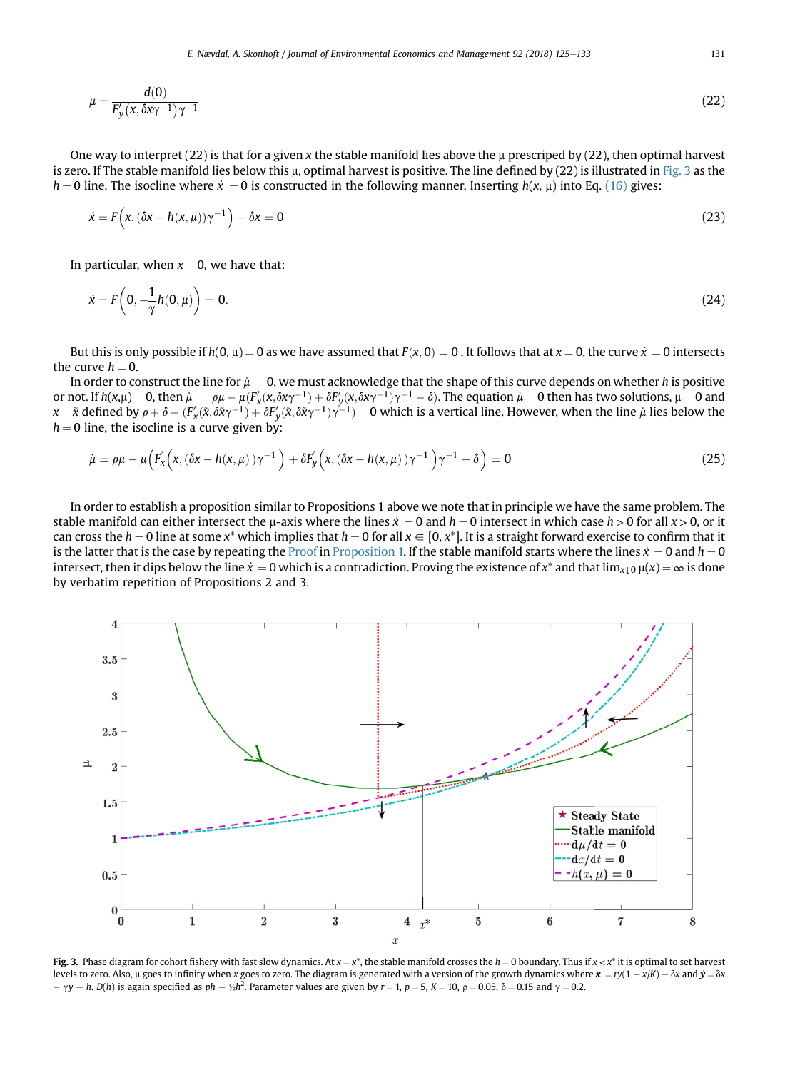$$
\mu = \frac{d(0)}{F'_y(x, \delta x \gamma^{-1})\gamma^{-1}}\tag{22}
$$

One way to interpret (22) is that for a given x the stable manifold lies above the  $\mu$  prescriped by (22), then optimal harvest is zero. If The stable manifold lies below this  $\mu$ , optimal harvest is positive. The line defined by (22) is illustrated in Fig. 3 as the  $h = 0$  line. The isocline where  $\dot{x} = 0$  is constructed in the following manner. Inserting  $h(x, \mu)$  into Eq. [\(16\)](#page-5-0) gives:

$$
\dot{x} = F(x, (\delta x - h(x, \mu))\gamma^{-1}) - \delta x = 0
$$
\n(23)

In particular, when  $x = 0$ , we have that:

$$
\dot{x} = F\left(0, -\frac{1}{\gamma}h(0, \mu)\right) = 0. \tag{24}
$$

But this is only possible if  $h(0, \mu) = 0$  as we have assumed that  $F(x, 0) = 0$ . It follows that at  $x = 0$ , the curve  $x = 0$  intersects the curve  $h = 0$ .<br>In order to construct the line for  $\mu = 0$ , we must acknowledge that the shape of this curve depends on whether h is positive

In order to construct the line for  $\mu = 0$ , we must acknowledge that the shape of this curve depends on whether h is positive<br>ont If h(x u) – 0, then  $\mu = 0$  and  $\mu(K'(\chi \delta w^{-1}) + \delta K'(\chi \delta w^{-1})w^{-1} = \delta)$ . The equation  $\mu = 0$  t or not. If  $h(x,\mu) = 0$ , then  $\mu = \rho\mu - \mu(F_x'(x,\delta x\gamma^{-1}) + \delta F_y'(x,\delta x\gamma^{-1})\gamma^{-1} - \delta)$ . The equation  $\mu = 0$  then has two solutions,  $\mu = 0$  and  $x - \tilde{x}$  defined by  $\rho + \delta = (F'(\tilde{x},\delta \tilde{x}\gamma^{-1}) + \delta F'(\tilde{x},\delta \tilde{x}\gamma^{-1})\gamma^{-1}) - 0$  which is  $x = \tilde{x}$  defined by  $\rho + \delta - (F_x'(\tilde{x}, \delta \tilde{x} \gamma^{-1}) + \delta F_y'(\tilde{x}, \delta \tilde{x} \gamma^{-1}) \gamma^{-1}) = 0$  which is a vertical line. However, when the line  $\mu$  lies below the  $h = 0$  line the isocline is a curve given by:  $h = 0$  line, the isocline is a curve given by:

$$
\dot{\mu} = \rho \mu - \mu \left( F_x \left( x, (\delta x - h(x, \mu)) \gamma^{-1} \right) + \delta F_y \left( x, (\delta x - h(x, \mu)) \gamma^{-1} \right) \gamma^{-1} - \delta \right) = 0 \tag{25}
$$

In order to establish a proposition similar to Propositions 1 above we note that in principle we have the same problem. The stable manifold can either intersect the  $\mu$ -axis where the lines  $\dot{x} = 0$  and  $h = 0$  intersect in which case  $h > 0$  for all  $x > 0$ , or it can cross the  $h = 0$  line at some  $x^*$  which implies that  $h = 0$  for all  $x \in [0, x^*]$ . It is a straight forward exercise to confirm that it is the latter that is the case by repeating the Proof in Proposition 1. If the stable manifold starts where the lines  $\dot{x} = 0$  and  $h = 0$ intersect, then it dips below the line  $\dot{x} = 0$  which is a contradiction. Proving the existence of  $x^*$  and that  $\lim_{x \to 0} \mu(x) = \infty$  is done by verbatim repetition of Propositions 2 and 3.



Fig. 3. Phase diagram for cohort fishery with fast slow dynamics. At  $x = x^*$ , the stable manifold crosses the  $h = 0$  boundary. Thus if  $x < x^*$  it is optimal to set harvest levels to zero. Also,  $\mu$  goes to infinity when x goes to zero. The diagram is generated with a version of the growth dynamics where  $\dot{\mathbf{x}} = ry(1 - x/K) - \delta x$  and  $\dot{\mathbf{y}} = \delta x$  $p - \gamma y - h$ .  $D(h)$  is again specified as  $ph - \frac{1}{2}h^2$ . Parameter values are given by  $r = 1$ ,  $p = 5$ ,  $K = 10$ ,  $\rho = 0.05$ ,  $\delta = 0.15$  and  $\gamma = 0.2$ .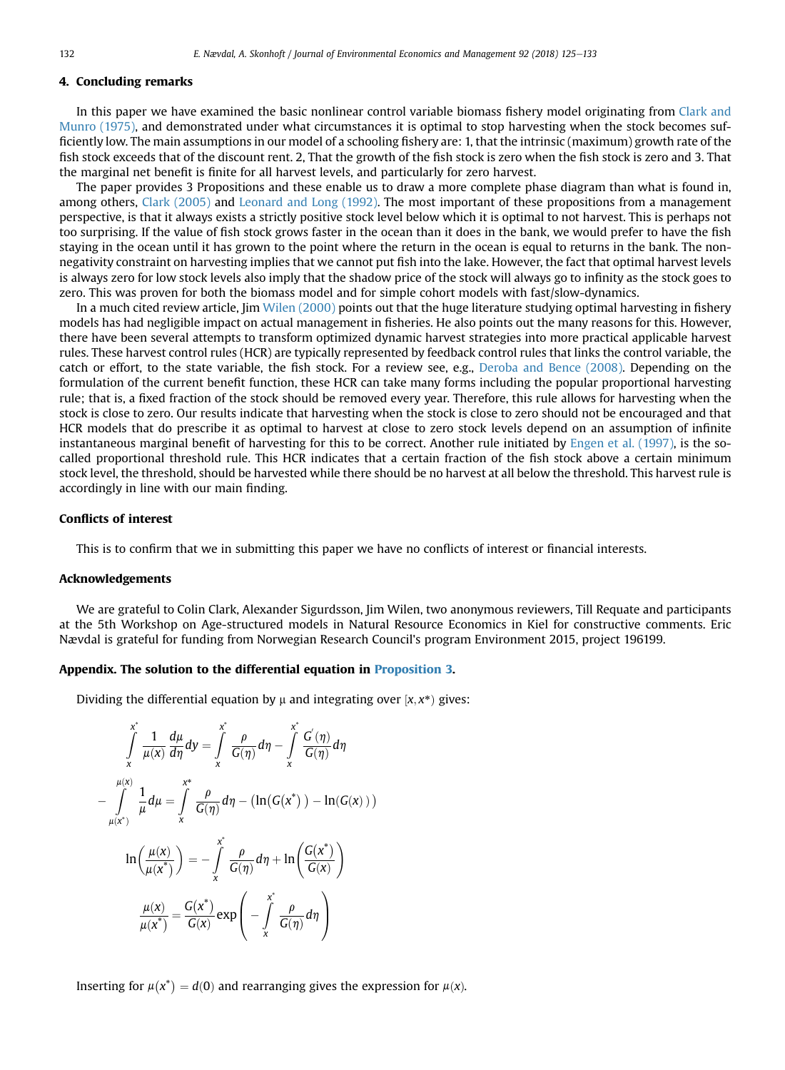## <span id="page-7-0"></span>4. Concluding remarks

In this paper we have examined the basic nonlinear control variable biomass fishery model originating from [Clark and](#page-8-0) [Munro \(1975\),](#page-8-0) and demonstrated under what circumstances it is optimal to stop harvesting when the stock becomes sufficiently low. The main assumptions in our model of a schooling fishery are: 1, that the intrinsic (maximum) growth rate of the fish stock exceeds that of the discount rent. 2, That the growth of the fish stock is zero when the fish stock is zero and 3. That the marginal net benefit is finite for all harvest levels, and particularly for zero harvest.

The paper provides 3 Propositions and these enable us to draw a more complete phase diagram than what is found in, among others, [Clark \(2005\)](#page-8-0) and [Leonard and Long \(1992\).](#page-8-0) The most important of these propositions from a management perspective, is that it always exists a strictly positive stock level below which it is optimal to not harvest. This is perhaps not too surprising. If the value of fish stock grows faster in the ocean than it does in the bank, we would prefer to have the fish staying in the ocean until it has grown to the point where the return in the ocean is equal to returns in the bank. The nonnegativity constraint on harvesting implies that we cannot put fish into the lake. However, the fact that optimal harvest levels is always zero for low stock levels also imply that the shadow price of the stock will always go to infinity as the stock goes to zero. This was proven for both the biomass model and for simple cohort models with fast/slow-dynamics.

In a much cited review article, Jim [Wilen \(2000\)](#page-8-0) points out that the huge literature studying optimal harvesting in fishery models has had negligible impact on actual management in fisheries. He also points out the many reasons for this. However, there have been several attempts to transform optimized dynamic harvest strategies into more practical applicable harvest rules. These harvest control rules (HCR) are typically represented by feedback control rules that links the control variable, the catch or effort, to the state variable, the fish stock. For a review see, e.g., [Deroba and Bence \(2008\).](#page-8-0) Depending on the formulation of the current benefit function, these HCR can take many forms including the popular proportional harvesting rule; that is, a fixed fraction of the stock should be removed every year. Therefore, this rule allows for harvesting when the stock is close to zero. Our results indicate that harvesting when the stock is close to zero should not be encouraged and that HCR models that do prescribe it as optimal to harvest at close to zero stock levels depend on an assumption of infinite instantaneous marginal benefit of harvesting for this to be correct. Another rule initiated by [Engen et al. \(1997\)](#page-8-0), is the socalled proportional threshold rule. This HCR indicates that a certain fraction of the fish stock above a certain minimum stock level, the threshold, should be harvested while there should be no harvest at all below the threshold. This harvest rule is accordingly in line with our main finding.

# Conflicts of interest

This is to confirm that we in submitting this paper we have no conflicts of interest or financial interests.

#### Acknowledgements

We are grateful to Colin Clark, Alexander Sigurdsson, Jim Wilen, two anonymous reviewers, Till Requate and participants at the 5th Workshop on Age-structured models in Natural Resource Economics in Kiel for constructive comments. Eric Nævdal is grateful for funding from Norwegian Research Council's program Environment 2015, project 196199.

#### Appendix. The solution to the differential equation in Proposition 3.

Dividing the differential equation by  $\mu$  and integrating over  $[x, x^*)$  gives:

$$
\int_{x}^{x^{*}} \frac{1}{\mu(x)} \frac{d\mu}{d\eta} d\eta = \int_{x}^{x^{*}} \frac{\rho}{G(\eta)} d\eta - \int_{x}^{x^{*}} \frac{G'(\eta)}{G(\eta)} d\eta
$$

$$
-\int_{\mu(x^{*})}^{\mu(x)} \frac{1}{\mu} d\mu = \int_{x}^{x^{*}} \frac{\rho}{G(\eta)} d\eta - \left(\ln(G(x^{*})) - \ln(G(x))\right)
$$

$$
\ln\left(\frac{\mu(x)}{\mu(x^{*})}\right) = -\int_{x}^{x^{*}} \frac{\rho}{G(\eta)} d\eta + \ln\left(\frac{G(x^{*})}{G(x)}\right)
$$

$$
\frac{\mu(x)}{\mu(x^{*})} = \frac{G(x^{*})}{G(x)} exp\left(-\int_{x}^{x^{*}} \frac{\rho}{G(\eta)} d\eta\right)
$$

Inserting for  $\mu(x^*) = d(0)$  and rearranging gives the expression for  $\mu(x)$ .